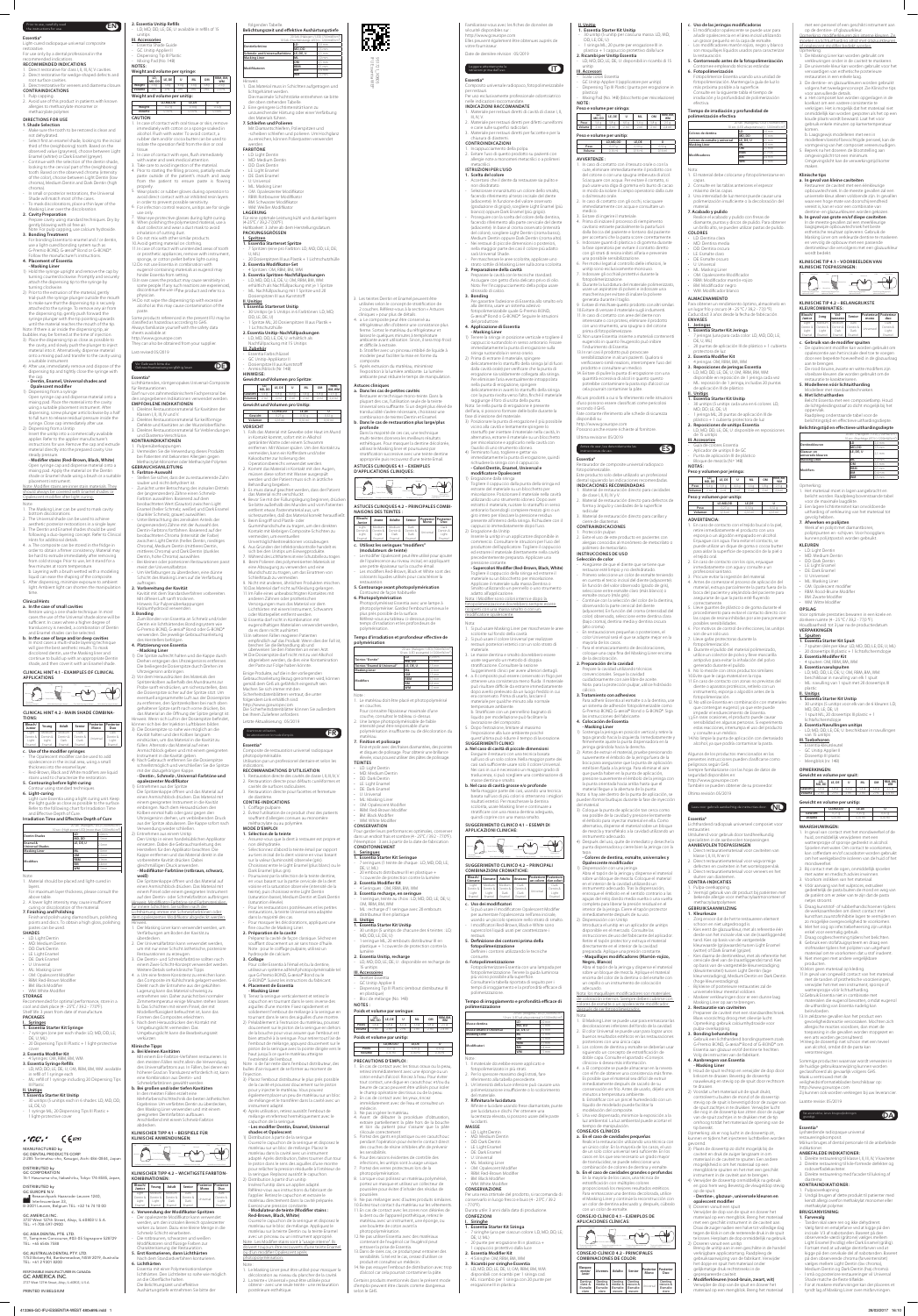#### Prior to use, carefully read Prior to use, carefully read<br>the instructions for use.

951721\_X060vл IFU Essentia WEP

#### **Essentia®**

Light-cured radiopaque universal composite restorative. For use only by a dental professional in the

Direct restorative for class I, II, III, IV, V cavities. 2. Direct restorative for wedge-shaped defects and root surface cavities.

# recommended indications. **RECOMMENDED INDICATIONS**

#### 3. Direct restorative for veneers and diastema closure. **CONTRAINDICATIONS**

Pulp capping. 2. Avoid use of this product in patients with known allergies to methacrylate monomer or methacrylate polymer

### **DIRECTIONS FOR USE**

- **1. Shade Selection** - Make sure the tooth to be restored is clean and not dehydrated. Select first an enamel shade, looking to the incisal
- third of the (neighboring) tooth. Based on the observed value (grayness), choose between Light Enamel (whiter) or Dark Enamel (greyer). - Continue with the selection of the dentin shade,
- looking to the cervical part of the (neighboring) tooth. Based on the observed chroma (intensity of the color), choose between Light Dentin (low chroma), Medium Dentin and Dark Dentin (high chroma).
- In small or posterior restorations, the Universal Shade will match most of the cases. To mask discolorations, place a thin layer of the
- Masking Liner over the discoloration. **2. Cavity Preparation**
- Prepare cavity using standard techniques. Dry by gently blowing with oil free air. Note: For pulp capping, use calcium hydroxide.
- **3. Bonding Treatment** For bonding Essentia to enamel and / or dentin, use a light-cured bonding system such as G-Premio BOND, G-ænial® Bond or G-BOND®. Follow the manufacturer's instructions.

#### **4. Placement of Essentia - Masking Liner**

- Note: 1. The Masking Liner can be used to mask cavity bottom discolorations. 2. The Universal shade can be used to achieve
- aesthetic posterior restorations in a single layer. 3. The Dentin and Enamel shades should be used
- following a duo-layering concept. Refer to Clinica Hints for additional details.
- 4. a. The composite can be stored in the fridge in order to obtain a firmer consistency. Material may be hard to extrude immediately after removing from cold storage. Prior to use, let it stand for a few minutes at room temperature.
- b. Layering with a brush wetted with a modeling liquid can ease the shaping of the composite. 5. After dispensing, minimize exposure to ambient light. Ambient light can shorten the mani
- 1) Hold the syringe upright and remove the cap by turning counterclockwise. Promptly and securely attach the dispensing tip to the syringe by turning clockwise.
- 2) Prior to the extrusion of the material, gently trial-push the syringe plunger outside the mouth to make sure that the dispensing tip is securely attached to the syringe. To remove any air from the dispensing tip, gently push forward the syringe plunger with the tip pointing upwards until the material reaches the mouth of the tip.
- Note: If there is air inside the dispensing tip, air bubbles may be formed at the time of injection.
- 3) Place the dispensing tip as close as possible to the cavity, and slowly push the plunger to inject material into it. Alternatively, dispense material
- onto a mixing pad and transfer to the cavity using a suitable instrument. 4) After use, immediately remove and dispose of the
- dispensing tip and tightly close the syringe with the cap. **- Dentin, Enamel, Universal shades and**

will give the best aesthetic results. To mask discolored dentin, use the Masking liner and continue to build up with an appropriate Dentin shade, and then cover it with an Enamel shade.

**TIONS: Bleach/ Junior Young Adult Senior Posterior Mono Posterior Duo** Light Dentin & Light Enamel Medium Dentin & Light Enamel Medium Dentin & Dark Enamel Dark Dentin & Dark Enamel Universal Dark Dentin & Light Enamel **c. Use of the modifier syringes** The Opalescent modifier can be used to add

#### **Opalescent modifier** 1) Dispensing from a syringe

**5. Contouring before light-curing** Contour using standard technique

- Open syringe cap and dispense material onto a mixing pad. Place the material into the cavity using a suitable placement instrument. After dispensing, screw plunger anticlockwise by a half to full turn to release residual pressure inside the syringe. Close cap immediately after use.
- 2) Dispensing from a Unitip Insert the unitip into a commercially available applier. Refer to the applier manufacturer's instructions for use. Remove the cap and extrude material directly into the prepared cavity. Use

### steady pressure. **- Modifier stains (Red-Brown, Black, White)** Open syringe cap and dispense material onto a mixing pad. Apply the material on the Dentin

• OM: Opalescent Modifie • RBM: Red-Brown Modifier

shade or Enamel shade using a brush or a suitable placement instrument. Note: Modifier stains are inner stain materials. They should always be covered with Enamel shades or

Opalescent modifier after light curing.

### 4 Syringes: OM, RRM, RM, WM **3. Essentia Syringe Refills**

- 30 unitips (5 unitips each in 6 shades: LD; MD; DD; LE; DE; U) 1 syringe ML; 20 Dispensing Tips III Plastic +
- 1 light-protective cover

time.

#### **Clinical Hints a. In the case of small cavities**

# Restore using a one shade technique. In most cases the use of the Universal shade alone will be

sufficient. In cases where a higher degree of translucency is needed, a combination of Dentin and Enamel shades can be selected. **b. In the case of large and/or deep cavities** In most cases a multi-shade layering technique

#### **CLINICAL HINT 4.1 - EXAMPLES OF CLINICAL APPLICATIONS**



zwischen Light Dentin (helles Dentin, niedrige Chroma), Medium Dentin (mittleres Dentin, mittleres Chroma) und Dark Dentin (dunkles Dentin, hohe Chroma) auswählen. - Bei kleinen oder posterioren Restaurationen passt

# **CLINICAL HINT 4.2 - MAIN SHADE COMBINA-**

# **6. Light-curing**

Light cure Essentia using a light curing unit. Keep the light guide as close as possible to the surface. Refer to the following chart for Irradiation Time and Effective Depth of Cure.

# **Irradiation Time and Effective Depth of Cure**

|                         | 20 sec. (Halogen / LED) (700mW/cm <sup>2</sup> )             |                   |  |  |  |
|-------------------------|--------------------------------------------------------------|-------------------|--|--|--|
|                         | 10 sec. (High power LED) (more than 1200mW/cm <sup>2</sup> ) |                   |  |  |  |
| <b>Dentin Shades</b>    | LD                                                           | 2.0 <sub>mm</sub> |  |  |  |
|                         | MD, DD                                                       | 15mm              |  |  |  |
| Enamel &                | LE, DE, U                                                    | 25mm              |  |  |  |
| <b>Universal Shades</b> |                                                              |                   |  |  |  |
| <b>Masking Liner</b>    | ML                                                           | 1.0 <sub>mm</sub> |  |  |  |
|                         | OM                                                           | 2.5 <sub>mm</sub> |  |  |  |
| <b>Modifiers</b>        | <b>RBM</b>                                                   | $0.1$ mm          |  |  |  |
|                         | <b>BM</b>                                                    | 0.4 <sub>mm</sub> |  |  |  |
|                         | <b>WM</b>                                                    | 15mm              |  |  |  |

Note: 1. Material should be placed and light-cured in

layers. For maximum layer thickness, please consult the above table.

2. A lower light intensity may cause insufficient curing or discoloration of the material.

#### **7. Finishing and Polishing** Finish and polish using diamond burs, polishing

points and discs. To obtain a high gloss, polishing pastes can be used. **SHADES**

# • LD: Light Dentin

- MD: Medium Dentin • DD: Dark Dentin
- LE: Light Enamel
- DE: Dark Enamel • U: Universal

• ML: Masking Liner

# • BM: Black Modifier

• WM: White Modifier **STORAGE**

# Recommended for optimal performance, store in a

cool and dark place (4 - 25°C / 39.2 - 77.0°F). Shelf life: 3 years from date of manufacture. **PACKAGES**

#### höherer Grad an Transluzenz erforderlich ist, kann eine Kombination aus Dentin- und hmelzfarbtönen gewählt werder

# **I. Syringes**

**1. Essentia Starter Kit Syringe** - 7 syringes (one per each shade: LD; MD; DD; LE; DE; U; ML)

# - 20 Dispensing Tips III Plastic + 1 light-protective cover **2. Essentia Modifier Kit**

- LD; MD; DD; LE; DE; U; OM, RBM, BM, WM: available in refill of 1 syringe each ML: refill of 1 syringe including 20 Dispensing Tips III Plastic

#### **II. Unitips 1. Essentia Starter Kit Unitip**

unitips

**2. Essentia Unitip Refills** - LD; MD; DD; LE; DE; U: available in refills of 15 **III. Accessories** - Essentia Shade Guide - GC Unitip Applier II - Dispensing Tip III Plastic Mixing Pad (No. 14B) **Weight and volume per syringe:** 

**NOTES:**

**LD, MD, DD LE, DE <sup>U</sup> ML OM RBM, BM, WM Weight** 3.4g 3.8g 4.0g 3.4g 3.8g 2.5g **Volume** 2mL 2mL 2mL 2mL 2mL 2.4 mL **Weight and volume per unitip:**

**OM** 2,5 mm **RBM 0,1 mm BM** 0,4 mm **WM** 1,5 mm

#### **LD,MD,DD LE,DE U Weight** 0.27g 0.30g **Volume** 0.16mL 0.16mL 0.16mL **CAUTION**

#### Mit Diamantschleifern, Polierspitzen und -scheiben schleifen und polieren. Um Hochglanz zu erreichen, können Polierpasten verwende

- BM: Schwarzer Modifikator
- WM: Weißer Modifikator
- **LAGERUNG** Für eine optimale Leistung kühl und dunkel lagern
- (4-25°C / 39,2-77,00°F). Haltbarkeit: 3 Jahre ab dem Herstellungsdatum.
- **PACKUNGSGRÖSSEN I. Spritzen**
- **1. Essentia Starterset Spritze** - 7 Spritzen (eine pro Farbton: LD; MD; DD; LE; DE;
- U; ML) 20 Dosierspitzen III aus Plastik + 1 Lichtschutzhülle or prosthetic appliances, remove with instrument,
	- **2. Essentia Modifikator-Set** - 4 Spritzen: OM, RBM, BM, WM
		- **3. Essentia Spritzen-Nachfüllpackungen** LD; MD; DD; LE; DE; U; OM, RBM, BM, WM
	- erhältlich als Nachfüllpackung mit je 1 Spritze - ML: Nachfüllpackung mit 1 Spritze und 20 Dosierspitzen III aus Kunststof

paste.

classified as hazardous according to GHS. Always familiarize yourself with the safety data

opalescence in the incisal area, using a small thickness into the enamel layer. - Red-Brown, Black and White modifiers are liquid stains used to characterize the restoration. 4) Nach Gebrauch entfernen Sie die Dosierspitze

sheets available at: http://www.gceurope.com

They can also be obtained from your supplier.

# OB<sub>1</sub>

Last revised 05/2019

Vor Gebrauch bitte die

**Essentia®**

## **LD, MD, DD LE, DE <sup>U</sup> ML OM RBM, BM, WM Gewicht** 3,4g 3,8g 4,0g 3,4g 3,8g 2,5g

Lichthärtendes, röntgenopakes Universal-Composite

für Restaurationen.

**LD,MD,DD LE,DE U Gewicht** 0,27 g 0,30 g 0,32 g<br>**Volumen** 0,16 ml 0,16 ml 0,16 ml **VORSICHT** . Falls das Material mit Gewebe oder Haut im Mund

Darf nur von zahnmedizinischem Fachpersonal bei den angegebenen Indikationen verwendet werden.

**EMPFOHLENE INDIKATIONEN** .<br>Tiel für Kavitäten der Klassen I, II, III, IV und V. 2. Direktes Restaurationsmaterial für keilförmige Defekte und Kavitäten an der Wurzeloberfläche.

- müssen diese sofort mit Wasser ausgespült werden und der Patient muss sich in ärztliche
- Behandlung begeben. 3. Es muss darauf geachtet werden, dass der Patient das Material nicht verschluckt.
- Technique mono-teinte Technique de stratification multi-teintes Technique mono-teinte Technique de stratification **ASTUCES CLINIQUES 4.2 – PRINCIPALES COMBI-NAISONS DES TEINTES :** 4. Bevor Sie mit der Füllungslegung beginnen, drücke Sie bitte außerhalb des Mundes und vom Patienten entfernt etwas Pastenmaterial aus, um
- 5. Beim Eingriff sind Plastik- oder Gummihandschuhe zu tragen, um den direkten Kontakt mit klebrigen Composite-Schichten zu sicherzustellen, daß das Material korrekt herausfließ
- vermeiden, um eventuellen Unverträglichkeitsreaktionen vorzubeugen. 6. Aus Gründen der Infektionskontrolle handelt es
- sich bei den Unitips um Einwegprodukte. Während des Lichthärtens ist eine Schutzbrille zu tragen. 8. Beim Polieren des polymerisierten Materials ist eine Absaugung zu verwenden und eine
- Mundschutz zu tragen, um das Einatmen von Schleifstaub zu vermeiden. 9. Nicht mit anderen, ähnlichen Produkten mischen.
- t nicht auf Kleidung gelang

3. Direktes Restaurationsmaterial für Verblendungen und Diastema-Verschlüsse. **KONTRAINDIKATIONEN**

1. Pulpenüberkappungen. 2. Vermeiden Sie die Verwendung dieses Produkts bei Patienten mit bekannten Allergien gegen

#### Methacrylat-Monomer oder Methacrylat-Polymer. **GEBRAUCHSANLEITUNG**

- **1. Farbton-Auswahl** ellen Sie sicher, dass der zu restaurierende Zahn sauber und nicht dehydriert ist. Zunächst unter Betrachtung des inzisalen Drittels
- der (angrenzenden) Zähne einen Schmelz-Farbton auswählen. Basierend auf dem beobachteten Wert (Grauton) zwischen Light Enamel (heller Schmelz, weißer) und Dark Enamel (dunkler Schmelz, grauer) auswählen.
- Unter Betrachtung des zervikalen Anteils der (angrenzenden) Zähne mit der Auswahl des Dentin-Farbtons fortfahren. Basierend auf der beobachteten Chroma (Intensität der Farbe)

Restauration directe des cavités de classe I, II, III, IV, V. 2. Restauration directe pour défauts cunéiformes et cavités de surfaces radiculaires.

meist der Universalfarbton. - Um Verfärbungen zu überdecken, eine dünne Schicht des Masking Liners auf die Verfärbung

auftragen. **2. Vorbereitung der Kavität**

> Assurez-vous que la dent à restaurer est propre et non déshydratée. - Sélectionnez d'abord la teinte émail par rapport au tiers incisal de la dent voisine en vous basant sur la valeur (luminosité) observée (gris). Choisissez entre le Light Enamel (plus blanc) ou le Dark Enamel (plus gris).

Kavität mit dem Standardverfahren vorbereiten. Mit ölfreier Luft sanft trocknen. Hinweis: Für Pulpenüberkappungen Kalziumhydroxid verwenden. **3. Bonding** Zum Bonden von Essentia an Schmelz und/oder

#### Dentin ein lichthärtendes Bondingsystem wie G-Premio BOND, G-ænial® Bond oder G-BOND® verwenden. Die jeweilige Gebrauchsanleitung des Herstellers befolgen. **4. Platzierung von Essentia - Masking Liner**

**shades et Opalescent**  Distribution à partir de la seringue

Anmischblock geben und mit einem geeigneten

Instrument in die Kavität geben.

mit der dazugehörigen Kappe.

**opaleszenter Modifikator** 1) Entnehmen aus der Spritze

Die Spritzenkappe öffnen und das Material auf einen Anmischblock drücken. Das Material mit einem geeigneten Instrument in die Kavität einbringen. Nach dem Herausdrücken den Kolben einmal halb oder ganz gegen den Uhrzeigersinn drehen, um verbleibenden Druck aus der Spritze abzulassen. Die Kappe sofort nach

Verwendung wieder schließen. 2) Entnehmen aus einem Unitip

5. Après extrusion du matériau, minimise: l'exposition à la lumière ambiante. La lumière ambiante peut réduire le temps de manipulation.

einsetzen. Dabei die Gebrauchsanleitung des Herstellers für den Applikator beachten. Die Kappe entfernen und das Material direkt in die vorbereitete Kavität drücken. Dabei gleichmäßigen Druck anwenden.

# **- Modifikator-Farbtöne (rotbraun, schwarz,**

**weiß)** Die Spritzenkappe öffnen und das Material auf einen Anmischblock drücken. Das Material mit einem Pinsel oder einem geeigneten Instrument auf den Dentin- oder Schmelzfarbton aufbringen. Hinweis: Modifikator-Farbtöne sind Farbmaterialien für innere Schichten. Sie sollten nach der Lichthärtung immer mit Schmelzfarbtönen oder dem opaleszenten Modifikator abgedeckt werden.

Some products referenced in the present IFU may be  $DD: F: DF: U$ - 1 Spritze ML; 20 Dosierspitzen III aus Plastik + 1 Lichtschutzhülle

#### Hinweis: 1. Der Masking Liner kann verwendet werden, um Verfärbungen am Boden der Kavität zu

überdecken. 2. Der Universalfarbton kann verwendet werden, um mit nur einer Schicht ästhetische, posteriore Restaurationen zu erzeugen. 3. Die Dentin- und Schmelzfarbtöne sollten nach

Le modifier Opalescent peut être utilisé pour ajouter de l'opalescence au niveau incisal, en appliquant une petite épaisseur sur la couche émail. - Les modifiers Red-Brown, Black et White sont des colorants liquides utilisés pour caractériser la

**5. Contourage avant photopolymérisation** ntourez de façon habituelle

einem Zwei-Schicht-Konzept verwendet werden. Weitere Details siehe klinische Tipps. 4. a. Um eine festere Konsistenz zu erreichen kann

das Composite im Kühlschrank gelagert werden. Direkt nach der Entnahme aus der gekühlten

# verkürzen.

Pour garder leurs performances optimales, conserve dans un endroit frais et sombre (4 - 25°C / 39.2 - 77.0°F). nption : 3 ans à partir de la date de fabrication **CONDITONNEMENT**

#### **b. Bei großen und/oder tiefen Kavitäten** In den meisten Fällen erzielt eine Mehrfarbenschichttechnik die besten ästhetischen Ergebnisse. Um verfärbtes Dentin zu überdecken,

Teintier Essentia - GC Unitip Applier II

den Masking Liner verwenden und mit einem geeigneten Dentinfarbton aufbauen. Anschließend mit einem Schmelz-Farbton abdecken.

Bloc de mélange (No. 14B) **NOTES :**

> **LD,MD,DD LE,DE U Poids |** 0,27 g | 0,30 g | 0,32 g **Volume** | 0,16 ml | 0,16 ml | 0,16 ml

Universal

#### **KLINISCHER TIPP 4.1 – BEISPIELE FÜR KLINISCHE ANWENDUNGEN:** Enamel Shade (1-a) (1-b) (2-a) (2-b)

Schmelz-Farbton

Schmelz-Farbton

5. Portez des gants en plastique ou en caoutchouc pendant l'opération pour éviter le contact direct .<br>des couches de résine inhibées afin de prévenir

**KOMBINATIONEN: Bleach/ Junior Young Adult Senior Posterior Mono Posterior Duo** Light Dentin & Light Enamel Medium Dentin & Light Enamel Medium Dentin & Dark Enamel Dark Dentin & Dark Enamel Universal Dark Dentin & Light Enamel **c. Verwendung der Modifikator-Spritzen** - Der opaleszente Modifikator kann verwendet werden, um den inzisalen Bereich opaleszente wirken zu lassen. Dazu eine kleine Menge in die

1) Die Spritze aufrecht halten und die Kappe durch Drehen entgegen des Uhrzeigersinns entferner Die beiliegende Dosierspitze durch Drehen im Uhrzeigersinn anbringen. 2) Vor dem Herausdrücken des Materials den Einige Produkte, auf die in der vorliegenden

Schmelz-Schicht einarbeiten. Die rotbraunen, schwarzen und weißen Modifikatoren sind flüssige Farben zur Charakterisierung der Restauration. **5. Erst Konturieren, dann Lichthärten** Nach dem Standardverfahren konturieren. **6. Lichthärten**

Spritzenkolben außerhalb des Mundraums zur Probe sanft eindrücken, um sicherzustellen, dass die Dosierspitze sicher auf der Spritze sitzt. Um eventuell angesammelte Luft aus der Dosierspitze zu entfernen, den Spritzenkolben bei nach oben gehaltener Spitze sanft nach vorne drücken, bis das Material an die Öffnung der Spitze gelangt ist. Hinweis: Wenn sich Luft in der Dosierspitze befindet, Gebrauchsanleitung Bezug genommen wird, können gemäß dem GHS als gefährlich eingestuft sein. Machen Sie sich immer mit den Sicherheitsdatenblättern vertraut, die unter folgendem Link erhältlich sind: http://www.gceurope.com Die Sicherheitsdatenblätter können Sie außerdem bei Ihrem Zulieferer anfordern. Letzte Aktualisierung : 05/2019

**3,4 g 3,8 g 4,0 g 3,4 g Volume** 2 ml 2 ml 2 ml 2 ml 2 ml 2,4 ml

Essentia mit einer Polymerisationslampe lichthärten. Den Lichtleiter so nahe wie möglich an die Oberfläche halten. Die Belichtungszeit und effektive Aushärtungstiefe entnehmen Sie bitte der

**LD,MD,DD LE,DE U Peso |** 0,27 g | 0,30 g | 0,32 g **Volume |** 0,16 ml | 0,16 ml | 0,16 ml

#### können sich bei der Injektion Luftblasen bilden. 3) Die Dosierspitze so nahe wie möglich an die Kavität halten und den Kolben langsam eindrücken, um das Material in die Kavität zu füllen. Alternativ das Material auf einen Avant toute utilisation, **Essentia®**

. In caso di contatto con il tessuto orale o con la cute, eliminare immediatamente il prodotto con del cotone o con una spugna imbevuta di alcol. Sciacquare con acqua. Per evitare il contatto, si può usare una diga di gomma e/o burro di cacao in modo da isolare il campo operatorio dalla cute

folgenden Tabelle. **Belichtungszeit und effektive Aushärtungstiefe** 20 Sek. (Halogen / LED) (700mW/cm²) 10 Sek. (Hochleistungs-LED) (> 1200mW/cm²) **Dentinfarbtöne LD** 2,0 mm **Schmelz- und Universalfarbtöne LE, DE, U** 2,5 mm **Masking Liner ML** 1,0 mm **Modifikatoren** Hinweis:

#### schnellstmöglich und verschließen Sie die Spritze **- Dentin-, Schmelz-, Universal-Farbtöne und RECOMMANDATIONS D'UTILISATION**

1. Das Material muss in Schichten aufgetragen und lichtgehärtet werden. Die maximale Schichtstärke entnehmen sie bitte der oben stehenden Tabelle. 2. Eine geringere Lichtintensität kann zu

unzureichender Härtung oder einer Verfärbung anzurerenden name<br>des Materials führen. **7. Schleifen und Polieren**

**MD, DD**<br>LE, DE, U

12. Non usare Essentia insieme a materiali contenent eugenolo in quanto l'eugenolo può inibire

#### Den Unitip in einen handelsüblichen Applikator **MODE D'EMPLOI 1. Sélection de la teinte**

werden. **FARBTÖNE** • LD: Light Dentin

• MD: Medium Dentin • DD: Dark Dentin

• LE: Light Enamel • DE: Dark Enamel

• U: Universal • ML: Masking Liner

• OM: Opaleszenter Modifikator • RBM: Rotbrauner Modifikator

El modificador opalescente se puede usar para añadir opalescencia en el área incisal utilizando un grosor pequeño en la capa de esmalte. - Los modificadores marrón rojizo, negro y blanco son maquillajes líquidos usados para caracterizar

<u>ing Line</u> **Modificadores**

# **II. Unitips**

- **1. Essentia Starterset Unitip** nitips (je 5 Unitips in 6 Farbtönen: LD; MD;
- **2. Essentia Unitip-Nachfüllpackungen**
- LD; MD; DD; LE; DE; U: erhältlich als Nachfüllpackung mit 15 Unitips **III. Zubehör**

#### - Essentia Farbschlüssel GC Unitip-Applikator II - Dosierspitze III aus Kunststoff

- Anmischblock (Nr. 14B)

**HINWEISE: Gewicht und Volumen pro Spritze:** 

- Lagerung kann das Material schwierig zu entnehmen sein. Daher zunächst bei normale Zimmertemperatur einige Minuten stehen lassen. b. Das Schichten mit einem Pinsel, der mit Modellierflüssigkeit befeuchtet ist, kann das 1) Tenez la seringue verticalement et retirez le capuchon en tournant dans le sens inverse des aiguilles d'une montre. Fixez rapidement et solidement l'embout de mélange à la seringue en tournant dans le sens des aiguilles d'une montre.
- Formen des Composites erleichtern. 5. Nach dem Herausdrücken den Kontakt mit Umgebungslicht vermeiden. Das Umgebungslicht kann die Bearbeitungszeit 2) Préalablement à l'extrusion du matériau, poussez

**Volumen** 2 ml 2 ml 2 ml 2 ml 2 ml 2,4 ml **Gewicht und Volumen pro Unitip:**

> de 15 unitip **III.Accesorios**

- Guía de colores Essentia Aplicador de unitips II de GC - Punta de aplicación III de plástico Bloque de mezcla (N.º 14B)

in Kontakt kommt, sofort mit in Alkohol getränkter Watte oder einem Schwamm entfernen. Mit Wasser spülen. Um den Kontakt zu vermeiden, kann ein Kofferdam und/oder

> **Peso** 3,8 g 3,8 g 3,8 g 3,8 g 3,8 g 3,9 g 3,8 g 3,9 g 3,9 g 3,9 g 3,9 g 3,9 g 3,9 g 3,9 g 3,9 g 3,9 g 3,9 g 3,9 g 3,9 g 3,9 g 3,9 g 3,9 g 3,9 g 3,9 g 3,9 g 3,9 g 3,9 g 3,9 g 3,9 g 3,9 g 3,9 g 3,9 g 3,9 g 3,9 g 3,9 g 3,9 g **Volumen** 2 ml 2 ml 2 ml 2 ml 2 ml 2,4 ml

**LD,MD,DD LE,DE U Peso** 0,27 g 0,30 g 0,32 g<br> **Volumen** 0,16 ml 0,16 ml 0,16 ml

**Klinische Tipps a. Bei kleinen Kavitäten** Mit einem Ein-Farbton-Verfahren restaurieren. In den meisten Fällen reicht allein die Verwendung des Universalfarbtons aus. In Fällen, bei denen ein Note : si de l'air reste dans l'embout distributeur, des bulles d'air risquent de se former au moment de

Kakaobutter zur Isolierung des Operationsbereichs verwendet werden. 2. Kommt das Material in Kontakt mit den Augen,

> 12. No utilice Essentia en combinación con materiales que contengan eugenol, ya que este puede impedir el endurecimiento de Essentia.

Einfarbenschichttechnik Mehrfarbenschichttechnik Einfarbenschichttechnik Mehrfarbenschichttechnik Masking Liner Universal Dentin-Farbton Dentin-Farbton P Dentin-Farbton Schmelz-Farbton **KLINISCHER TIPP 4.2 – WICHTIGSTE FARBTON-**Ouvrez le capuchon de la seringue et disposez le matériau sur un bloc de mélange. Placez le matériau dans la cavité avec un instrumen adapté. Après distribution, faites tourner d'un tour le piston dans le sens des aiguilles d'une montre pour relâcher la pression résiduelle à l'intérieur de la seringue. Replacez aussitôt le capuchon.

11.Im Falle eines unbeabsichtigten Kontaktes mit anderen Zähnen oder prothetischen Versorgungen muss das Material vor dem Lichthärten mit einem Instrument, Schwamm oder Wattepellet entfernt werden. 12. Essentia darf nicht in Kombination mit eugenolhaltigen Materialien verwendet werden,

### Leggere attentamente le Leggere attentamente le<br>istruzioni prima dell'uso ITT dell'uso ITT dell'uso ITT dell'uso ITT dell'uso ITT dell'

#### nelle indicazioni rac **INDICAZIONI RACCOMANDATE**

da es dann nicht aushärtet.

14.Die Dosierspitze darf nicht mit zu viel Alkohol abgerieben werden, da dies eine Kontamination

der Paste zur Folge haben könnte.

lire attentivement le mode d'emploi. FR

Per mascherare le aree scolorite, applicare uno strato sottile di Masking Liner sulla zona scolorita.

Composite de restauration universel radiopaque photopolymérisable. Utilisation par un professionel dentaire et selon les indications.

- 3. Restauration directe pour facettes et fermeture de diastème.
- **CONTRE-INDICATIONS** biffage pulpair 2. Évitez l'utilisation de ce produit chez des patients
- souffrant d'allergies connues au monomère méthacrylate ou au polymère.

- Poursuivez par la sélection de la teinte dentine, en vous basant sur la partie cervicale de la dent voisine et la saturation observée (intensité de la teinte), puis choisissez entre Light Dentin (saturation basse), Medium Dentin et Dark Dentin Inserire la unitip in un applicatore disponibile in commercio. Consultare le istruzioni per l'uso del produttore dell'applicatore. Togliere il cappuccio ed estrarre il materiale direttamente nella cavità precedentemente preparata. Applicare una pressione costante. **- Supercolori Modifier (Red-Brown, Black, White)** Togliere il cappuccio della siringa ed estrarre il materiale su un blocchetto per miscelazione. Applicare il materiale sulla massa Dentina o ando un pennello

(saturation élevée).

- Pour les restaurations postérieures et les petites restaurations, la teinte Universal sera adaptée

dans la majorité des cas.

- Pour masquer les décolorations, appliquez une

fine couche de Masking Liner. **2. Préparation de la cavité**

> Préparez la cavité de façon classique. Séchez en soufflant doucement un air sans trace d'huile. Note : pour le coiffage pulpaire, utilisez un

hydroxyde de calcium.

**3. Collage**

Pour coller Essentia à l'émail et/ou la dentine, utilisez un système adhésif photopolymérisable tel que G-Premio BOND, G-ænial® Bond ou le G-BOND®. Suivez les instructions du fabricant.

#### **4. Placement de Essentia - Masking Liner**

doucement sur le piston de la seringue en dehors de la bouche pour vous assurer que l'embout est bien attaché à la seringue. Pour retirer tout l'air de l'embout de mélange, appuyez doucement sur le piston de la seringue avec la pointe dirigée vers le haut jusqu'à ce que le matériau atteigne

l'extrémité de l'embout.

strument adapté.

chon de la serin

l'injection.

3) Placez l'embout distributeur le plus près possible de la cavité et poussez doucement sur le piston pour y injecter le matériau. Vous pouvez également placer un peu de matériau sur un bloc de mélange et le transférer dans la cavité avec un

4) Après utilisation, retirez aussitôt l'embout de mélange et refermez hermétiquement avec le

**- Les modifier Dentin, Enamel, Universal** 

#### . 'ርር'.'  $C \epsilon$ <sup>2797</sup> MANUFACTURED by

GC DENTAL PRODUCTS CORP. 2-285 Toriimatsu-cho, Kasugai, Aichi 486-0844, Japa

> 2) Distribution à partir d'un unitip Insérez l'unitip dans un applier adapté. Référez-vous aux instructions du fabricant de l'applier. Retirez le capuchon et extraire le matériau directement dans la cavité préparée. Exercez une pression constante. **- Modulateur de teinte (Modifier stains : Red-Brown, Black, White)**  Ouvrez le capuchon de la seringue et disposez le matériau sur le bloc de mélange. Appliquez le matériau sur la teinte Dentin ou la teinte Ename avec un pinceau ou un instrument approprié. Note : Les Modifier stains sont à "usage interne". Ils doivent toujours être recouverts d'une teinte Enamel ou d'un modifier Opalescent après photopolymérisation. Note : 1. Le Masking Liner peut être utilisé pour masquer la décoloration au niveau du plancher de la cavité. 2. La teinte « Universal » peut être utilisée pour

**GC AMERICA INC.** 3737 West 127th Street, Alsip, IL 60803 U.S.A. TEL: +1-708-597-0900

GC AUSTRALIA DENTAL PTY. LTD. 1753 Botany Rd, Banksmeadow, NSW 2019, Australia  $TFI : +61 2 9301 8200$ 

postérieure esthétique.

cliniques » pour plus de détails. 4. a. Le composite peut être conservé au

réfrigérateur afin d'obtenir une consistance plus ferme. Sortez le matériau du réfrigérateur et laissez le quelques minutes à température ambiante avant utilisation. Sinon, il sera trop froid

et difficile à extraire.

1 cappuccio protettivo dalla luce **2. Essentia Modifier Kit** 4 Siringhe: OM, RBM, BM, WM

b. Stratifier avec un pinceau imbibé de liquide à modeler peut faciliter la mise en forme du

composite.

**Astuces cliniques** 

**a. Dans les cas de petites cavités**

Restaurer en technique mono-teinte. Dans la plupart des cas, l'utilisation seule de la teinte Universal sera suffisante. Si un degré plus élevé de translucidité s'avère nécessaire, choisissez une combinaison de teintes Dentin et Enamel. **b. Dans le cas de restauration plus large/plus** 

**profonde**

cierre de diastemas. **CONTRAINDICACIONES** otección pulpar.

Dans la majorité de ces cas, une technique multi-teintes donnera les meilleurs résultats esthétiques. Pour masquer la dentine décolorée, utilisez le Masking liner et poursuivez par stratification successive avec une teinte dentine appropriée puis recouvrez d'une teinte Email. **ASTUCES CLINIQUES 4.1 – EXEMPLES D'APPLICATIONS CLINIQUES:**

Universal Dentis Dentis Dentis Dentis Dentis Dentis Dentis Dentis Dentis Dentis Dentis Dentis Dentis Dentis Dentis Dentis Dentis Dentis Dentis Dentis Dentis Dentis Dentis Dentis Dentis Dentis Dentis Dentis Dentis Dentis De

multi-teintes

Enamel Shade

Enamel Shade

Enamel Shade

Universal

Enamel Shade (1-a) (1-b) (2-a) (2-b)

**Bleach/**

**Junior Jeune Adulte Sénior Posterior Mono Posterior Duo**

**Instrucciones del fabricante. 4. Colocación de Essentia - Masking Liner**

Light Dentin & Light Enamel

Medium Dentin & Light Enamel

Medium Dentin & Dark Enamel

Dark Dentin & Dark Enamel

Universal

Dark Dentin & Light Enamel

**c. Utilisez les seringues "modifiers" (modulateurs de teinte)** 

restauration.

- **6. Photopolymérisation**  Photopolymérisez Essentia avec une lampe à photopolymériser. Gardez l'embout lumineux le plus près possible de la surface.
- Référez-vous au tableau ci-dessous pour les emps d'irradiation et les profondeurs de polymérisation.

# **Temps d'irradiation et profondeur effective de polymérisation**

| 20 sec. (Halogen / LED) (700mW/cm <sup>2</sup> )<br>10 sec. (LED puissante) (>1200mW/cm <sup>2</sup> ) |            |                   |  |
|--------------------------------------------------------------------------------------------------------|------------|-------------------|--|
| <b>Teintes "Dentin"</b>                                                                                | LD         | $2,0$ mm          |  |
|                                                                                                        | MD, DD     | $1.5 \text{ mm}$  |  |
| Teintes "Enamel & Universal"                                                                           | LE, DE, U  | 2.5 mm            |  |
| <b>Masking Liner</b>                                                                                   | ML         | 1.0 <sub>mm</sub> |  |
|                                                                                                        | OM         | $2.5$ mm          |  |
| <b>Modifiers</b>                                                                                       | <b>RBM</b> | $0.1$ mm          |  |
|                                                                                                        | BM         | $0.4$ mm          |  |
|                                                                                                        | <b>WM</b>  | $1.5$ mm          |  |

Note 1. Le matériau doit être placé et photopolymérisé n couches.

- Pour connaitre l'épaisseur maximale d'une couche, consultez le tableau ci-dessus. 2. Une lampe photopolymérisable de faible intensité peut être responsable d'une
- polymérisation insuffisante ou de décoloration du matériau. **7. Finition et polissage**

#### Finir et polir avec des fraises diamantées, des pointes et disques de polissage. Pour obtenir une brillance élevée, vous pouvez utiliser des pâtes de polissage. **TEINTES**

- LD: Light Dentin • MD: Medium Dentin
- DD: Dark Dentin • LE: Light Enamel
- DE: Dark Enamel
- U: Universal • ML: Masking Liner
- OM: Opalescent Modifier • RBM: Red-Brown Modifier
- BM: Black Modifier • WM: White Modifier

# **CONSERVATION**

# **I. Seringues**

- **1. Essentia Starter Kit Seringue** 7 seringues (1 teinte de chaque : LD; MD; DD; LE; DE; U; ML) - 20 embouts distributeur III en plastique +
- 1 couvercle de protection contre la lumière **2. Essentia Modifier Kit**
- 4 Seringues : OM, RBM, BM, WM **3. Essentia recharge, en seringue**
- 1 seringue, teinte au choix : LD; MD; DD; LE; DE; U; OM, RBM, BM, WM
- ML : recharge d'1 seringue avec 20 embouts distributeur III en plastique

#### **II. Unitips 1. Essentia Starter Kit Unitip**

- 30 unitips (5 unitips de chacune des 6 teintes : LD; MD; DD; LE; DE; U) - 1 seringue ML; 20 embouts distributeur III en

### plastique + 1 couvercle de protection contre la lumière

15 unitips **III.Accessoires**

- Dispensing Tip III Plastic (embout distributeur III en plastique)

# **Poids et volume par seringue:**

**LD, MD, DD LE, DE <sup>U</sup> ML OM RBM, BM, WM Poids** 3,4g 3,8g 4,0g 3,4g 3,8g 2,5g **Volume** 2 ml 2 ml 2 ml 2 ml 2 ml 2,4 ml

**Poids et volume par unitip:**

**PRECAUTIONS D'EMPLOI :** 

. Ne pas ingérer le matériau

1. En cas de contact avec les tissus oraux ou la peau, retirez immédiatement avec une éponge ou un coton enduit d'alcool. Rincez à l'eau. Pour éviter tout contact, une digue en caoutchouc et/ou du beurre de cacao peuvent être utilisés pour isoler e champ opératoire des tissus ou de la peau. 2. En cas de contact avec les yeux, rincez immédiatement avec de l'eau et consultez un

> 3) Plaats de doseertip zo dicht mogelijk bij de caviteit en druk de zuiger langzaam in om materiaal in de caviteit te spuiten. Een andere mogelijkheid is om het materiaal op een mengblok te spuiten en het met een geschikt instrument in de caviteit aan te bre

médecin.

les sensibilités.

6. Pour des raisons évidentes de contrôle des infections, les unitips sont à usage unique. 7. Portez des verres protecteurs lors de la

photopolymérisation.

Breng de unitip aan in een geschikte in de handel verkrijgbare applicatortang. Raadpleeg de gebruiksaanwijzing van de fabrikant. Verwijder het dopje en spuit het materiaal onder gelijkmatige druk rechtstreeks in de repareerde caviteit.

Familiarisez-vous avec les fiches de données de sécurité disponibles sur : http://www.gceurope.com Elles peuvent également être obtenues auprès de votre fournisseur.

# Date de dernière révision : 05/2019 **2. Ricambi per Unitip Essentia**

- LD; MD; DD; LE; DE; U: disponibili in ricambi di 15

unitip **III. Accessori**

- Scala colori Essentia

- GC Unitip Applier II (applicatore per unitip) - Dispensing Tip III Plastic (punta per erogazione in

plastica)

- Mixing Pad (No. 14B) (blocchetto per miscelazione)

 $\begin{array}{c|c|c|c|c|c} \n\text{LD,} & \text{LE, DE} & \text{U} & \text{ML} & \text{OM} & \text{RBM, BM,} \\ \n\text{MD, DD} & \text{LE, DE} & \text{U} & \text{ML} & \text{OM} & \text{WM} \n\end{array}$ 

 $ML$  OM  $RBM, BM$ ,

**NOTE:**

**Peso e volume per siringa:** 

**Peso e volume per unitip:**

**AVVERTENZE :** 

o dal tessuto orale.

2. In caso di contatto con gli occhi, sciacquare immediatamente con acqua e consultare un

> **KLEUREN** • LD: Light Dentin • MD: Medium Dentin • DD: Dark Dentin • LE: Light Enamel • DE: Dark Enamel • U: Universeel • ML: Masking Liner • OM: Opale

medico.

3. Evitare di ingerire il materiale.

5. Indossare guanti di plastica o di gomma durante la fase operatoria per evitare il contatto diretto con gli strati di resina inibiti all'aria e prevenire

una possibile sensibilizzazione. 6. Per motivi legati al controllo delle infezioni, le unitip sono esclusivamente monouso. 7. Indossare gli occhiali protettivi durante la

> LD; MD; DD; LE; DE; U; OM, RBM, BM, WM: beschikbaar in navulling van elk 1 spuit - ML: navulling van 1 spuit met 20 doseertips III

fotopolimerizzazione.

8. Durante la lucidatura del materiale polimerizzato, usare un aspiratore di polveri e indossare una mascherina per evitare di inalare la polvere

generata durante il taglio.

**LD, MD, DD LE, DE <sup>U</sup> ML OM RBM, BM, WM Gewicht** 3,4 g 3,8 g 4,0 g 3,4 g 3,8 g 2,5 g<br>**Volume** 2 ml 2 ml 2 ml 2 ml 2 ml 2,4 ml

**LD,MD,DD LE,DE U C**<sub>6</sub>,27 g **Volume** 0,16 ml 0,16 ml 0,16 ml

9. Evitare di mischiare questo prodotto con altri similari. 10.Evitare di versare il materiale sugli indumenti. 11.In caso di contatto con aree del dente non interessate o con protesi, eliminare il prodotto con uno strumento, una spugna o del cotone

prima di fotopolimerizzare.

2. Bij contact met de ogen, onmiddellijk spoeler met water en medisch advies inwinnen. 3. Voorkom inslikken van het materiaal.

l'indurimento di Essentia.

14. Evitare di pulire la punta di erogazione con una quantità eccessiva di alcol in quanto questo potrebbe contaminare la pasta.rop d'alcool car

cela pourrait contaminer la pâte.

Draag oogbescherming tijdens het belichter 8. Gebruik een stofafzuigsysteem en draag een stofmasker tijdens het polijsten van uitgehard materiaal om te voorkomen dat u stof inademt. 9. Niet mengen met andere vergelijkbare

Alcuni prodotti a cui si fa riferimento nelle istruzioni d'uso possono essere classificati come pericolosi

secondo il GHS.

Fate costante riferimento alle schede di sicurezza

Antes de usar, lea detenidamente las<br>instrucciones de uso.

disponibili su:

http://www.gceurope.com

Possono anche essere richieste al fornitore.

Ultima revisione: 05/2019

| Blanguea-<br>miento/<br>Junior | Jóvenes | Adulto         | Senior   | <b>Posterior Posterior</b><br>Mono | Duo      |
|--------------------------------|---------|----------------|----------|------------------------------------|----------|
| Dentina                        | Dentina | Dentina        | Dentina  | Universal                          | Dentina  |
| clara &                        | media & | media &        | oscura & |                                    | oscura & |
| Esmalte                        | Esmalte | <b>Esmalte</b> | Esmalte  |                                    | Esmalte  |
| claro                          | claro   | oscuro         | oscuro   |                                    | claro    |

**c. Uso de las jeringas modificadoras**

la restauración.

**5. Contorneado antes de la fotopolimerización** Contornee empleando técnicas estándar. **6. Fotopolimerización** Fotopolimerice Essentia usando una unidad de fotopolimerización. Mantenga la guía de luz lo más próxima posible a la superficie. Consulte en la siguiente tabla el tiempo de irradiación y la profundidad de polimerización

efectiva.

**Tiempo de irradiación y profundidad de** 

**polimerización efectiva**

20 sec. (Halógena / LED) (700mW/cm²) 10 sec. (LED alta potencia) (> 1200mW/cm²)

1. In case of contact with oral tissue or skin, remove immediately with cotton or a sponge soaked in alcohol. Flush with water. To avoid contact, a rubber dam and/or cocoa butter can be used to isolate the operation field from the skin or oral tissue. 2. In case of contact with eyes, flush immediately with water and seek medical attention. 3. Take care to avoid ingestion of the material. 4. Prior to starting the filling process, partially extrude paste outside of the patient's mouth and away from the patient to ensure paste is flowing properly. Wear plastic or rubber gloves during operation to avoid direct contact with air inhibited resin layers in order to prevent possible sensitivity. 6. For infection control reasons, unitips are for single use only.

**Colores de dentina LD** 2,0 mm

7. Wear eye-protective glasses during light-curing. When polishing the polymerized material, use a dust collector and wear a dust mask to avoid inhalation of cutting dust. 9. Do not mix with other similar products. 10. Avoid getting material on clothing. 11. In case of contact with unintended areas of tooth **OM** 2,5 mm **RBM** 0,1 mm **BM** 0,4 mm **WM** 1,5 mm

Nota:

1. El material debe colocarse y fotopolimerizarse en

capas.

2. Consulte en las tablas anteriores el espesor

Colores de esmalte y universal **LE**, DE, U

máximo de las capas.

3. Una intensidad de luz menor puede causar una polimerización insuficiente o la decoloración del

material. **7. Acabado y pulido**

Realice el acabado y pulido con fresas de diamante, puntas y discos de pulido. Para obtener un brillo alto, se pueden utilizar pastas de pulido.

**COLORES** • LD: Dentina clara • MD: Dentina media • DD: Dentina oscura • LE: Esmalte claro • DE: Esmalte oscuro • U: Universal • ML: Masking Liner

• OM: Opalescente Modificador • RBM: Modificador marrón-rojizo • BM: Modificador negro • WM: Modificador blanco **ALMACENAMIENTO**

Para obtener un rendimiento óptimo, almacénelo en un lugar frío y oscuro (4 - 25 °C / 39,2 - 77,0 °F). Caducidad: 3 años desde la fecha de fabricación.

**ENVASES I. Jeringas**

**1. Essentia Starter Kit Jeringa**

- 7 jeringas (una para cada color: LD; MD; DD; LE;

DE; U; ML)

- 20 puntas de aplicación III de plástico + 1 cubierta

protectora de luz **2. Essentia Modifier Kit** 4 jeringas: OM, RBM, BM, WM **3. Reposiciones de jeringas Essentia** LD; MD; DD; LE; DE; U; OM, RBM, BM, WM: disponible en reposición de 1 jeringa cada vez - ML: reposición de 1 jeringa, incluidas 20 puntas

de aplicación III de plástico

**II. Unitips**

**1. Essentia Starter Kit Unitip**

- 30 unitips (5 unitips cada una en 6 colores: LD;

MD; DD; LE; DE; U)

- 1 jeringa ML; 20 puntas de aplicación III de ástico + 1 cubierta protectora de luz **2. Reposiciones de unitips Essentia** 

LD; MD; DD; LE; DE; U: disponible en reposiciones

**NOTAS:**

**Peso y volumen por jeringa:**

**LD, MD, DD LE, DE <sup>U</sup> ML OM RBM, BM, WM**

**Peso y volumen por unitip:**

**ADVERTENCIA:** 

1. En caso de contacto con el tejido bucal o la piel, retire inmediatamente el producto con una esponja o un algodón empapado en alcohol. Enjuague con agua. Para evitar el contacto, se puede utilizar un dique de goma o cocoa butter para aislar la superficie de operación de la piel o

obtenir - avec une seule teinte - une restauration ez un matériau poly portez un masque et utilisez un collecteur de poussière pour éviter d'inhaler des résidus de poussière. 9. Ne pas mélanger avec d'autres produits similaires. 10.Évitez tout contact du matériau sur les vêtements. 11.En cas de contact avec les zones non désirées de la dent ou de l'appareil prothétique, retirez le matériau avec un instrument, une éponge, ou une boulette de coton avant la photopolymérisation. 12.Ne pas utiliser Essentia avec des matériaux contenant de l'eugénol car l'eugénol peut entraver la prise de Essentia. 14.Ne pas essuyer l'embout de distribution avec trop d'alcool car cela pourrait contaminer la pâte. 13. Dans de rares cas, ce produit peut entrainer des sensibilités. Si tel est le cas, cessez d'utiliser ce produit et consultez un médecin. Certains produits mentionnés dans le présent mode d'emploi peuvent être classés comme dangereux selon le GHS.

el tejido oral.

2. En caso de contacto con los ojos, enjuague inmediatamente con agua y consulte a un

profesional sanitario.

naterial, extruya parci

3. Procure evitar la ingestión del material.

5. Lleve guantes de plástico o de goma durante el procedimiento para evitar el contacto directo con las capas de resina inhibidas por aire para prevenir

posibles sensibilidades.

**2. Essentia Unitip, recharge** - LD; MD; DD; LE; DE; U : disponible en recharge de **6. Fotopolimerizzazione** 6. Por motivos de control de infecciones, las unitips

son de un solo uso. 7. Lleve gafas protectoras durante la

rrectamente

fotopolimerización.

8. Durante el pulido del material polimerizado, utilice un colector de polvo y lleve mascarilla antipolvo para evitar la inhalación del polvo

generado durante el pulido.

9. No lo mezcle con otros productos similares 10.Evite que le caiga material en la ropa. 11.En caso de contacto con zonas no previstas del diente o aparatos protésicos, retírelo con un instrumento, esponja o algodón antes de la

fotopolimerización.

14.No limpie la punta de aplicación con demasiado alcohol, ya que podría contaminar la pasta. Algunos de los productos mencionados en las presentes instrucciones pueden clasificarse como

peligrosos según GHS.

Siempre familiarizarse con las hojas de datos de

seguridad disponibles en: http://www.gceurope.com

También se pueden obtener de su proveedor.

Última revisión 05/2019

met een penseel of een geschikt instrument aan

op de dentine- of glazuurkleur.

Opmerking: modifierkleuren zijn interne kleuren. Ze moeten na lichtuitharding altijd met glazu of opalescent modifier bedekt worden.

Opmerking:

1. De Masking Liner kan worden gebruikt om verkleuringen onder in de caviteit te maskeren. 2. De universele kleur kan worden gebruikt voor het vervaardigen van esthetische posterieure restauraties in een enkele laag.

**Essentia®** Composito universale radiopaco, fotopolimerizzabile per restauri. Per uso esclusivamente professionale odontoiatrico

14.Do not wipe the dispensing tip with excessive alcohol as this may cause contamination of the some people. If any such reactions are experienced discontinue the use of the product and refer to a

1. Materiale per restauri diretti di cavità di classe I, II, III, IV, V. 2. Materiale per restauri diretti per difetti cuneiformi

e carie sulle superfici radicolari.

3. Materiale per restauri diretti per faccette e per la

chiusura di diastemi. **CONTROINDICAZIONI** 1. Incappucciamento della polpa. 2. Evitare l'uso di questo prodotto su pazienti con allergie note a monomeri metacrilici o a polimeri

metacrilici. **ISTRUZIONI PER L'USO 1. Scelta del colore**

- Accertarsi che il dente da restaurare sia pulito e

non disidratato.

- Selezionare innanzitutto un colore dello smalto, facendo riferimento al terzo incisale del dente (adiacente). In funzione del valore osservato (gradazione di grigio), scegliere Light Enamel (più bianco) oppure Dark Enamel (più grigio). Proseguire con la scelta del colore della dentina, facendo riferimento alla parte cervicale del dente (adiacente). In base al croma osservato (intensità del colore), scegliere Light Dentin (croma basso), Medium Dentin oppure Dark Dentin (croma alto). - Nei restauri di piccole dimensioni o posteriori, nella maggior parte dei casi il colore più adatto

sarà Universal Shade.

**2. Preparazione della cavità**

Preparare la cavità con le tecniche standard. Asciugare con getto d'aria delicato privo di olio. Nota: Per l'incappucciamento della polpa usare

idrossido di calcio. **3. Bonding**

Per garantire l'adesione di Essentia allo smalto e/o alla dentina, usare un sistema adesivo fotopolimerizzabile quale G-Premio BOND, G-ænial® Bond o G-BOND®. Seguire le istruzioni

del produttore. **4. Applicazione di Essentia - Masking Liner**

1) Tenere la siringa in posizione verticale e togliere il cappuccio ruotandolo in senso antiorario. Fissare immediatamente la punta di erogazione sulla siringa ruotandola in senso orario. 2) Prima di estrarre il materiale, spingere

delicatamente lo stantuffo della siringa (al di fuori dalla cavità orale) per verificare che la punta di erogazione sia saldamente collegata alla siringa. Per eliminare l'aria eventualmente intrappolata nella punta di erogazione, spingere delicatamente in avanti lo stantuffo della siringa con la punta rivolta verso l'alto, finché il materiale raggiunge il foro di uscita della punta. Nota: Se nella punta di erogazione è presente dell'aria, si possono formare delle bolle durante la

fase di iniezione del materiale.

Erogazione da Unitip

3) Posizionare la punta di erogazione il più possibile vicino alla cavità e lentamente spingere lo stantuffo per iniettare il materiale nella cavità, In alternativa, estrarre il materiale su un blocchetto per miscelazione e applicarlo nella cavità con l'ausilio di uno strumento idoneo. 4) Terminato l'uso, togliere e gettar via

immediatamente la punta di erogazione, quindi richiudere la siringa con il cappucci **- Colori Dentin, Enamel, Universal e modificatore Opalescent** 1) Erogazione dalla siringa

Togliere il cappuccio dalla punta della siringa ed estrarre del materiale su un blocchetto per miscelazione. Posizionare il materiale nella cavità utilizzando uno strumento idoneo. Dopo aver estratto il materiale, ruotare lo stantuffo in senso antiorario facendogli compiere mezzo giro o un giro intero per rilasciare la pressione residua presente all'interno della siringa. Richiudere con il cappuccio immediatamente dopo l'uso.

adatto all'applicazione.

Nota: I Modifier sono colori interni e dopo la fotopolimerizzazione dovrebbero sempre essere ricoperti con una massa smalto o con un

modificatore opalescente.

Nota:

1. Si può usare Masking Liner per mascherare le aree

scolorite sul fondo della cavità. 2. Si può usare il colore Universal per realizzare restauri posteriori estetici con un solo strato di

materiale.

3. Le masse dentina e smalto dovrebbero essere usate seguendo un metodo di doppia stratificazione. Consultare la sezione Suggerimenti clinici per avere ulteriori dettagli. 4. a. Il composito può essere conservato in frigo per ottenere una consistenza meno fluida. Il materiale può risultare difficile da estrarre immediatamente dopo averlo prelevato da un luogo freddo in cui era conservato. Prima di usarlo, lasciare il materiale per qualche minuto alla normale

temperature ambiente.

b. Stratificare con un pennellino bagnato di liquido per modellazione può facilitare la

lavorazione del composito. 5. Dopo l'estrazione, limitare al massimo l'esposizione alla luce ambiente poiché quest'ultima può ridurre il tempo di lavorazione.

**SUGGERIMENTI CLINICI** 

**a. Nel caso di cavità di piccole dimensioni** Eseguire il restauro con una tecnica basata sull'uso di un solo colore. Nella maggior parte dei casi sarà sufficiente usare solo il colore Universal. Nei casi in cui è necessario un maggior grado di traslucenza, si può scegliere una combinazione di

masse dentina e smalto.

**b. Nel caso di cavità grosse e/o profonde** Nella maggior parte dei casi, usando una tecnica basata sull'uso di più colori si otterranno i migliori risultati estetici. Per mascherare la dentina scolorita, usare Masking liner e continuare a stratificare con una massa dentina adeguata, quindi coprire con una massa smalto. **SUGGERIMENTO CLINICO 4.1 – ESEMPI DI** 

**APPLICAZIONI CLINICHE:**

One shade

layering technique Multi shade layering technique One shade layering technique Multi shade layering technique

**Giovane Giovane Adulto Anziano Posteriore Posteriore due colori due Colori D** 



Masking Liner

Enamel Shade

Enamel Shade

Enamel Shade

 $\sum_{\text{D}}$  Dentin Shade  $\sum_{\text{D}}$ 

Universal

Enamel Shade (1-a) (1-b) (2-a) (2-b)

**SUGGERIMENTO CLINICO 4.2 – PRINCIPALI** 

**COMBINAZIONI CROMATICHE:**

**Bleach/**

Light Dentin & Light Enamel

Medium Dentin & Light Enamel

Medium Dentin & Dark Enamel

Dark Dentin & Dark Enamel

Universal

Dark Dentin & Light Enamel

**c. Uso dei modificatori**

- Si può usare il modificatore Opalescent Modifier per aumentare l'opalescenza nell'area incisale, usando un piccolo spessore nello strato di smalto. - I modificatori Red-Brown, Black e White sono supercolori liquidi usati per caratterizzare i restauri. **5. Definizione dei contorni prima della** 

**fotopolimerizzazione**

Definire i contorni utilizzando le tecniche

consuete.

Fotopolimerizzare Essentia con una lampada per fotopolimerizzazione. Tenere la guida luminosa più vicino possibile alla superficie. Consultare la tabella riportata di seguito per i tempi di irraggiamento e la profondità efficace di

polimerizzazione.

**Masse smalto e Universal LE, DE, U Masking Liner ML** 1,0 mm

**Tempo di irraggiamento e profondità efficace di** 

**MD, DD** 

**polimerizzazione**

20 sec. (Alogena / LED) (700mW/cm²) 10 sec. (LED ad alta potenza) (>1200mW/cm²)

**Masse dentina LD** 2,0 mm

**Modificatori**

**OM** 2,5 mm **RBM** 0,1 mm **BM** 0,4 mm **WM** 1,5 mm

Note :

1. Il materiale dovrebbe essere applicato e fotopolimerizzato in più strati. 2. Per lo spessore massimo degli strati, fare riferimento alla tabella precedente. 3. Un'intensità della luce inferiore può causare una polimerizzazione insufficiente o lo scolorimento

del materiale. **7. Rifinitura le lucidatura**

> Rifinire e lucidare usando frese diamantate, punte per lucidatura e dischi. Per ottenere una lucentezza elevata, si possono usare delle paste

lucidanti. **MASSE** • LD: Light Dentin • MD: Medium Dentin • DD: Dark Dentin • LE: Light Enamel • DE: Dark Enamel • U: Universal • ML: Masking Liner • OM: Opalescent Modifier **II. Unitip**

**1. Essentia Starter Kit Unitip**

- 30 unitip (5 unitip per ciascuna massa: LD; MD;

DD; LE; DE; U)

- 1 siringa ML; 20 punte per erogazione III in plastica + 1 cappuccio protettivo dalla luce

DISTRIBUTED by GC CORPORATION

76-1 Hasunuma-cho, Itabashi-ku, Tokyo 174-8585, Japan,

# DISTRIBUTED by GC EUROPE N.V. Researchpark Haasrode-Leuven 1240, Interleuvenlaan 33, B-3001 Leuven, Belgium TEL: +32 16 74 10 00

GC ASIA DENTAL PTE. LTD. Tampines Concourse, #03-05 Signapore 528729 TEL: +65 6546 7588

#### RESPONSIBLE MANUFACTURER IN CANADA: GC AMERICA INC. 3737 West 127th Street, Alsip, IL 60803, U.S.A

PRINTED IN BELGIUM

DA<sub>1</sub>

• RBM: Red-Brown Modifier **BM: Black Modif** • WM: White Modifier **CONSERVAZIONE** Per una resa ottimale del prodotto, si raccomanda di conservarlo in luogo fresco e buio (4 - 25°C / 39.2 - 77.0°F). Durata utile: 3 anni dalla data di produzione. **CONFEZIONI I. Siringhe 1. Essentia Starter Kit Siringa** - 7 siringhe (una per ciascun colore: LD; MD; DD; LE; DE; U; ML) - 20 punte per erogazione III in plastica +

13 .In seltenen Fällen reagieren Patienten

empfindlich auf das Produkt. Wenn dies der Fall ist,

 brechen Sie die Behandlung ab und überweisen Sie den Patienten an einen Arzt. 3. Les teintes Dentin et Enamel peuvent être utilisées selon le concept de stratification de 2 couches. Référez-vous à la section « Astuces

4. Avant de débuter la procédure d'obturation, extraire partiellement la pâte hors de la bouche et loin du patient pour s'assurer que la pâte

s'écoule correctement

**3. Ricambi per siringhe Essentia** - LD; MD; DD; LE; DE; U; OM, RBM, BM, WM: disponibili con ricambi per 1 siringa cad.

- ML: ricambio per 1 siringa con 20 punte per erogazione III in plastica

4. Prima di iniziare il processo di riempimento cavitario estraete parzialmente la pasta fuori dalla bocca del paziente e lontano dal paziente per accertarsi che la pasta scorre correttamente.

13. In rari casi il prodotto può provocare sensibilizzazione in alcuni pazienti. Qualora si verificassero simili reazioni, interrompere l'uso del

prodotto e consultare un medico.

Antes de usar, lea detenidamente las

**Essentia®**

Restaurador de composite universal radiopaco

fotopolimerizable.

Este producto solo debe utilizarlo un profesional dental siguiendo las indicaciones rec **INDICACIONES RECOMENDADAS**

1. Material de restauración directo para cavidades

de clase I, II, III, IV y V.

2. Material de restauración directo para defectos de forma y ángulo y cavidades de la superficie

radicular

3. Material de restauración directo para carillas y

2. Evite el uso de este producto en pacientes con alergias conocidas al monómero de metacrilato o

Asegúrese de que el diente que se tiene que restaurar esté limpio y no deshidratado. - Primero seleccione un color de esmalte teniendo en cuenta el tercio incisal del diente (adyacente). En función del valor observado (grado de gris), one entre esmalte claro (más blanco) o

polímero de metacrilato. **INSTRUCCIONES DE USO Selección de color**

esmalte oscuro (más gris).

- Continúe con la selección del color de la dentina, observando la parte cervical del diente (adyacente). En función del croma (intensidad del color) observado, seleccione entre dentina clara (bajo croma), dentina media y dentina oscura

(alto croma).

- En restauraciones pequeñas o posteriores, el color Universal será el que se adapte mejor en la

mayoría de los casos.

- Para el enmascaramiento de decoloraciones, coloque una capa fina del Masking Liner encima

de la decoloración. **2. Preparación de la cavidad**

> Prepare la cavidad utilizando técnicas convencionales. Seque la cavidad cuidadosamente con aire libre de aceite. Nota: para la protección pulpar, utilice hidróxido

cálcico.

**3. Tratamiento con adhesivos**

Para adherir Essentia al esmalte o a la dentina, use un sistema de adhesión fotopolimerizable como G-Premio BOND, G-ænial® Bond o G-BOND®. Siga

1) Sostenga la jeringa en posición vertical y retire la tapa girando hacia la izquierda. Inmediatamente y firmemente ajuste la punta dispensadora en la jeringa girándola hacia la derecha. 2) Antes de extruir el material, pruebe presionando suavemente el émbolo de la jeringa fuera de la boca para asegurarse que la punta de aplicación esté bien fijada a la jeringa. Para eliminar el aire que pueda haber en la punta de aplicación, presione suavemente el émbolo de la jeringa con la punta orientada hacia arriba hasta que el material llegue a la abertura de la punta. Nota: si hay aire dentro de la punta de aplicación, se pueden formar burbujas durante la fase de inyección

del material.

3) Coloque la punta de aplicación tan cerca como sea posible de la cavidad y presione lentamente el émbolo para inyectar material en ella. Como alternativa, dispense el material sobre un bloque de mezcla y transfiéralo a la cavidad utilizando un

instrumento adecuado.

4) Después del uso, quite de inmediato y deseche la punta dispensadora y cierre bien la jeringa con la tapa. **- Colores de dentina, esmalte, universales y** 

**Opalescente modificador** 1) Dispensación con una jeringa

Abra el tapón de la jeringa y dispense el material sobre un bloque de mezcla. Coloque el material en el interior de la cavidad utilizando un instrumento adecuado. Tras la dispensación, enrosque el émbolo en el sentido contrario a las agujas del reloj dando media vuelta o una vuelta completa para liberar la presión residual en el interior de la jeringa. Cierre el tapón protector inmediatamente después de su uso.

2) Dispensación con Unitip

Introduzca el unitip en un aplicador de unitips disponible en el mercado. Consulte las instrucciones de uso del fabricante del aplicador. Retire el tapón protector y extruya el material directamente en el interior de la cavidad preparada. Aplique una presión constante. **- Maquillajes modificadores (Marrón-rojizo,** 

**Negro, Blanco)**

Abra el tapón de la jeringa y dispense el material sobre un bloque de mezcla. Aplique el material encima del color de la dentina o del esmalte con un cepillo o un instrumento de colocación

adecuado.

Nota: los maquillajes modificadores son materiales de coloración internos. Siempre deben cubrirse con colores de esmalte o un opalescente modificador

después de ser fotopolimerizados.

Nota:

1. El Masking Liner se puede usar para enmascarar las decoloraciones inferiores del fondo de la cavidad. 2. El color Universal se puede usar para lograr unos buenos resultados estéticos en las restauraciones

posteriores con una única capa.

inutos a temperatura ambiente. b. Estratificar con un pincel humedecido con un líquido de modelado puede facilitar la odelación del composite.

3. Los colores de dentina y esmalte se deberían usar siguiendo un concepto de estratificación de doble capa. Consulte el apartado «Consejos clínicos» si desea más información. 4. a. El composite se puede almacenar en la nevera con el fin de obtener una consistencia más firme. Es posible que el material sea difícil de extruir inmediatamente después de sacarlo de su conservación en frío. Antes de usarlo, déjelo unos

5. Una vez dispensado, minimice la exposición a la luz ambiental. La luz ambiental puede acortar el

tiempo de manipulación. **CONSEJOS CLÍNICOS a. En el caso de cavidades pequeñas**

Realice la restauración utilizando una técnica con un único color. En la mayoría de los casos, el uso de un solo color universal será suficiente. En los casos en los que sea necesario un grado mayor de translucidez, se puede seleccionar una combinación de colores de dentina y esmalte. **b. En el caso de cavidades grandes o profundas**

En la mayoría de los casos, una técnica de estratificación con múltiples colores proporcionará los mejores resultados estéticos. Para enmascarar una dentina decolorada, utilice el Masking Liner y continúe la reconstrucción con un color de dentina adecuado y, después, cúbralo con un color de esmalte.

### **CONSEJO CLÍNICO 4.1 – EJEMPLOS DE APLICACIONES CLÍNICAS:**

4. Antes de comenzar el proceso de aplicación del

boca del paciente y alejándola del paciente para asegurarse de que la pasta esté fluyendo

13.En raras ocasiones, el producto puede causar sensibilidad en algunas personas. Si experimenta estas reacciones, interrumpa el uso del producto

y consulte a un médico.

Lees voor gebruik aandachtig de instructies door. NL

**Essentia®**

Lichthardend radiopaak universeel composiet voor

restauraties

Uitsluitend voor gebruik door tandheelkundig specialisten in de aanbevolen toepassingen. **AANBEVOLEN TOEPASSINGEN**

1. Direct restauratiemateriaal voor caviteiten van

klasse I, II, III, IV en V.

uiten van diastem **CONTRA-INDICATIES** Pulpa-overkapping.

2. Direct restauratiemateriaal voor wigvormige defecten en caviteiten in het worteloppervlak. 3. Direct restauratiemateriaal voor veneers en het

2. Vermijd gebruik van dit product bij patiënten met bekende allergie voor methacrylaatmonomeer of

Zorg ervoor dat de het te restaureren element

methacrylaatpolymeer. **GEBRUIKSAANWIJZING 1. Kleurkeuze**

schoon en niet uitgedroogd is.

- Kies eerst de glazuurkleur, met als referentie één derde van het incisale vlak van de (naastliggende) tand. Kies op basis van de vastgestelde kleurwaarde (grijswaarde) tussen Light Enamel

(witter) of Dark Enamel (grijzer).

- Kies daarna de dentinekleur, met als referentie het cervicale deel van de (naastliggende) tand. Kies op basis van de vastgestelde kleurverzadiging (kleurintensiteit) tussen Light Dentin (lage kleurverzadiging), Medium Dentin en Dark Dentin

(hoge kleurverzadiging).

- Bij kleine of posterieure restauraties zal de universele kleur meestal voldoen. - Maskeer verkleuringen door er een dunne laag

Masking Liner op aan te brengen. **2. Restauratie van caviteiten**

Prepareer de caviteit met een standaardtechniek. Blaas voorzichtig droog met olievrije lucht. Opmerking: gebruik calciumhydroxide voor

pulpa-overkapping. **3. Bonding behandeling**

Gebruik een lichthardend bondingsysteem zoals G-Premio BOND, G-ænial® Bond of G-BOND® om Essentia aan glazuur en/of dentine te hechten. Volg de instructies van de fabrikant. **4. Aanbrengen van Essentia - Masking Liner**

1) Houd de spuit rechtop en verwijder de dop door linksom te draaien. Bevestig de doseertip nauwkeurig en stevig op de spuit door rechtsom

te draaien.

13. In rare cases the product may cause sensitivity in sponge, or cotton pellet before light-curing. 12. Do not use Essentia in combination with eugenol-containing materials as eugenol may hinder Essentia from setting.

> 2) Voordat u het materiaal uit de spuit drukt, controleert u buiten de mond of de doseer tip stevig op de spuit is bevestigd door de zuiger van de spuit zachtjes in te drukken. Verwijder lucht die nog in de doseertip kan zitten door de zuiger van de spuit zachtjes in te drukken met de tip omhoog totdat het materiaal de opening van de

tip bereikt.

Opmerking: als er nog lucht in de doseertip zit, kunnen er tijdens het injecteren luchtbellen worden

gevormd.

materiaal op een mengblok. Breng het materiaal met een geschikt instrument in de caviteit aan. Draai de zuiger nadien een halve tot volledige slag tegen de klok in om de resterende druk in de spuit te lossen. Herplaats de dop onmiddellijk na gebruik. 2) Doseren vanuit een unitip

**- Modifierkleuren (rood-bruin, zwart, wit)** Verwijder de dop van de spuit en doseer het materiaal op een mengblok. Breng het materiaal 3. De dentine- en glazuurkleuren worden gebruikt volgens het tweelagenconcept. Zie Klinische tips

voor aanvullende details.

4. a. Het composiet kan worden opgeslagen in de koelkast om een vastere consistentie te verkrijgen. Het is mogelijk dat het materiaal niet onmiddellijk kan worden gespoten als het op een koude plaats wordt bewaard. Laat het voor gebruik enkele minuten op kamertemperatuur

komen.

b. Laagsgewijs modelleren met een in modelleervloeistof bevochtigde penseel, kan de vormgeving van het composiet vereenvoudigen. 5. Beperk na het doseren de blootstelling aan omgevingslicht tot een minimum. Omgevingslicht kan de verwerkingstijd korter

maken. **Klinische tips** 

**a. In geval van kleine caviteiten**

Restaureer de caviteit met een éénkleurige opbouwtechniek. In de meeste gevallen zal een universele kleur alleen voldoende zijn. In gevallen waar een hoge mate van doorschijnendheid vereist is, kan er voor een combinatie van entine- en glazuurkleuren worden gekoze **b. In geval van grote en/of diepe caviteiten** In de meeste gevallen zal een meerkleurige laagsgewijze opbouwtechniek het beste esthetische resultaat opleveren. Gebruik de Masking Liner om verkleurde dentine te maskeren en vervolg de opbouw met een passende dentinekleur die vervolgens met een glazuurkleur

wordt bedekt.

**KLINISCHE TIP 4.1 – VOORBEELDEN VAN** 

Universeel Dentinekleur Dentinekleur Dentinekleur Dentinekleur Dentinekleur

**KLINISCHE TOEPASSINGEN:**

Universeel

Eénkleurige laagsgewijze opbouwtechniek

Eénkleurige laagsgewijze opbouwtechniek

Meerkleurige laagsgewijze opbouwtechniek

Meerkleurige laagsgewijze opbouwtechniek Masking Liner

Glazuurkleur

Glazuurkleur

Glazuurkleur

Universeel

Glazuurkleur (1-a) (1-b) (2-a) (2-b)

**KLINISCHE TIP 4.2 – BELANGRIJKSTE** 

**KLEURCOMBINATIES:**

**Bleach/**

**Junior Jong Vol-**

**wassene Senior Posterieur** 

**mono**

**Posterieur duo**

Light Dentin & Light Enamel

Medium Dentin & Light Enamel

Medium Dentin & Dark Enamel

Dark Dentin & Dark Enamel

Universeel

Dark Dentin & Light Enamel

**c. Gebruik van de modifier spuiten**

restauratie te karakteriseren **5. Modelleren vóór lichtuitharding** Modelleer met standaardtechnie

- De opalescent modifier kan worden gebruikt om opalescentie aan het incisale deel toe te voegen door een beperkte hoeveelheid in de glazuurlaag

aan te brengen.

- De rood-bruine, zwarte en witte modifiers zijn vloeibare kleuren die worden gebruikt om de

**6. Met licht uitharden**

Belicht Essentia met een composietlamp. Houd de lichtgeleidingsstaaf zo dicht mogelijk bij het

oppervlak.

uur- en<br>ersele kleuren

Raadpleeg onderstaande tabel voor de belichtingstijd en effectieve uithardingsdiepte. **Belichtingstijd en effectieve uithardingsdiepte**

**Dentinekleuren behaar <u>LD 2,0 mm</u></u>** 

20 sec. (Halogeen / LED) (700mW/cm²) 10 sec. (Krachtige LED) (>1200mW/cm²)

**MD, DD** 1,5 mm<br>**LE, DE, U** 2,5 mm

**universele kleuren Masking Liner ML** 1,0 mm

**Modifiers**

**OM** 2,5 mm **RBM** 0,1 mm **BM** 0,4 mm **WM** 1,5 mm

Opmerking:

1. Het materiaal moet in lagen aangebracht en belicht worden. Raadpleeg bovenstaande tabel

voor de maximale laagdikte.

2. Een lagere lichtintensiteit kan onvoldoende uitharding of verkleuring van het materiaal tot

gevolg hebben. **7. Afwerken en polijsten**

Werk af en polijst met diamantboren, polijstpunten en -schijven. Voor hoogglans kunnen polijstpasta's worden gebruikt.

4) Verwijder de doseertip onmiddellijk na gebruik en gooi hem weg. Bevestig de vleugeldop stevig op de spuit. **- Dentine-, glazuur-, universele kleuren en opalescent modifier** Doseren vanuit een spuit Verwijder de dop van de spuit en doseer het diastema. **KONTRAINDIKATIONER:** 1. Pulpaoverkapning 2. Undgå brugen af dette produkt til patienter med kendt allergi overfor methakrylat monomer eller methakrylat polymer. **BRUGSANVISNING: 1. Farvevalg**

• RBM: Rood-Bruine Modifier • BM: Zwarte Modifier • WM: Witte Modifier

**OPSLAG**

Voor optimale prestaties bewaren in een koele en donkere ruimte (4 - 25 °C / 39,2 - 77,0 °F). Houdbaarheid: tot 3 jaar na de productiedatum.

**VERPAKKINGEN I. Spuiten**

**1. Essentia Starter Kit Spuit**

- 7 spuiten (één per kleur: LD; MD; DD; LE; DE; U; ML) - 20 doseertips III plastic + 1 lichtafschermdopje

0 unitips (5 unitips voor elk van de 6 kleuren: LD;

**2. Essentia Modifier Kit** - 4 spuiten: OM, RBM, BM, WM **3. Essentia navulspuiten**

plastic **II. Unitips**

**MD, DD** 1,5 mm

**1. Essentia Starter Kit Unitip**

MD; DD; LE; DE; U)

- 1 spuit ML; 20 doseertips III plastic + 1

lichtafschermdopje **2. Essentia Navullingen unitips**

- LD; MD; DD; LE; DE; U: beschikbaar in navullingen

van 15 unitips **III. Toebehoren** - Essentia-kleursleutel - GC Unitip Applier II - Doseertip III plastic Mengblok (nr. 14B) **OPMERKINGEN:**

**Gewicht en volume per spuit:** 

**Gewicht en volume per unitip:**

**WAARSHUWINGEN:**

1. In geval van contact met het mondweefsel of de huid, onmiddellijk verwijderen met een wattenpropje of sponsje gedrenkt in alcohol. Spoelen met water. Om contact te voorkomen, kan cofferdam en/of cacaoboter worden gebruikt om het werkgebied te isoleren van de huid of het

mondweefsel.

5. Draag kunststof- of rubberhandschoenen tijdens de werkzaamheden om direct contact met kunsthars zuurstofinhibitie lagen te vermijden en zo mogelijke overgevoeligheid te voorkomen. 6. Met het oog op infectiebeheersing zijn unitips

enkel voor eenmalig gebruik.

producten.

10.Mors geen materiaal op kleding.

11.In geval van ongewild contact van het materiaal met de tanden of prothetische voorzieningen, verwijder het met een instrument, sponsje of wattenpropje vóór lichtuitharding. 12.Gebruik Essentia niet in combinatie met

materialen die eugenol bevatten, omdat eugenol de uitharding van Essentia nadelig kan

beïnvloeden.

14.Veeg de doseertip niet schoon met een teveel een arts worden geconsulteerd. aan alcohol, omdat dit de pasta kan

verontreinigen.

Sommige producten waarnaar wordt verwezen in de huidige gebruiksaanwijzing kunnen worden geclassificeerd als gevaarlijk volgens GHS.

Zij kunnen ook worden verkregen bij uw leverancier

Maak u vertrouwd met de

veiligheidsinformatiebladen beschikbaar op:

http://www.gceurope.com

Laatste revisie: 05/2019

4. Vóór aanvang van het vulproces, extrudeer gedeeltelijk de pasta buiten de mond en weg van de patiënt om er zeker van te zijn dat de pasta

netjes stroomt.

13. In zeldzame gevallen kan het product een gevoeligheidsreactie veroorzaken. Mochten zich allergische reacties voordoen, dan moet de toepassing in die gevallen worden stopgezet en

Før anvendelse, læses brugsvejledningen

**Essentia®**

indikatione

Lyshærdende radiopaque universal restaureringskomposit.

Må kun bruges af dental personale til de anbefalede

**ANBEFALEDE INDIKATIONER:** 

1. Direkte restaurering til klasse I, II, III, IV, V kaviteter 2. Direkte restaurering til kile-formede defekter og

rodoverfladekaviteter.

3. Direkte restaurering med facader til lukning af

- Tanden skal være ren og ikke dehydreret. - Vælg først en emaljefarve ved at kigge på den incisale 1/3 af nabotanden. Baseret på den observerede værdi (gråtone) vælges mellem Light Enamel (hvidlig) eller Dark Enamel (grålig). - Fortsæt med at udvælge dentinfarven ved at kigge på den cervikale del af nabotanden. Baseret på den observerede chroma (farveintensitet) vælges mellem Light Dentin (lav chroma), Medium Dentin og Dark Dentin (høj chroma).

- I små og posteriore restaureringer vil Universal Shade matche de fleste tilfælde. For at maskere misfarvninger kan der placeres et tyndt lag af Masking Liner over misfarvningen.

physician.